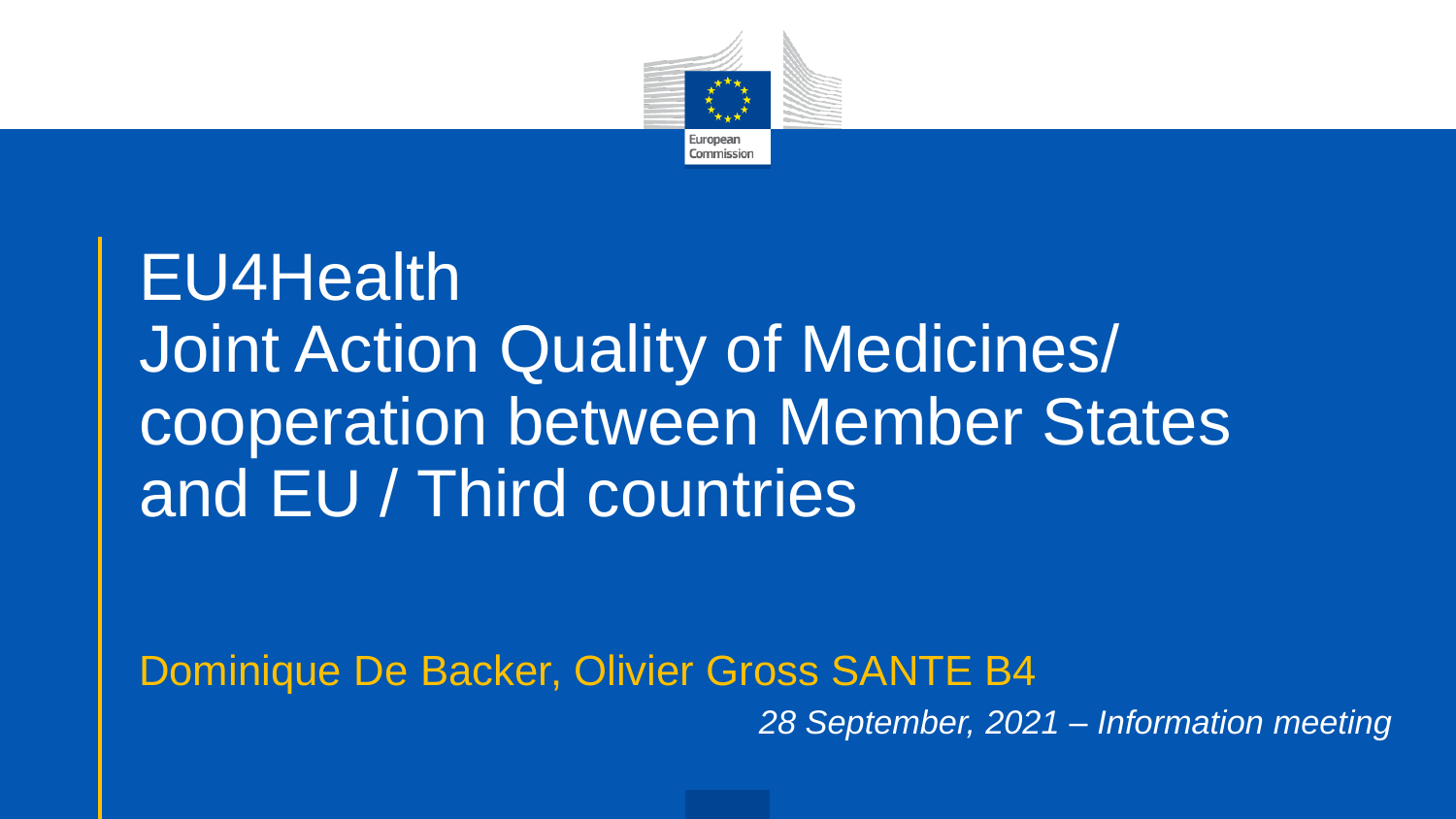

# EU4Health Joint Action Quality of Medicines/ cooperation between Member States and EU / Third countries

Dominique De Backer, Olivier Gross SANTE B4

*28 September, 2021 – Information meeting*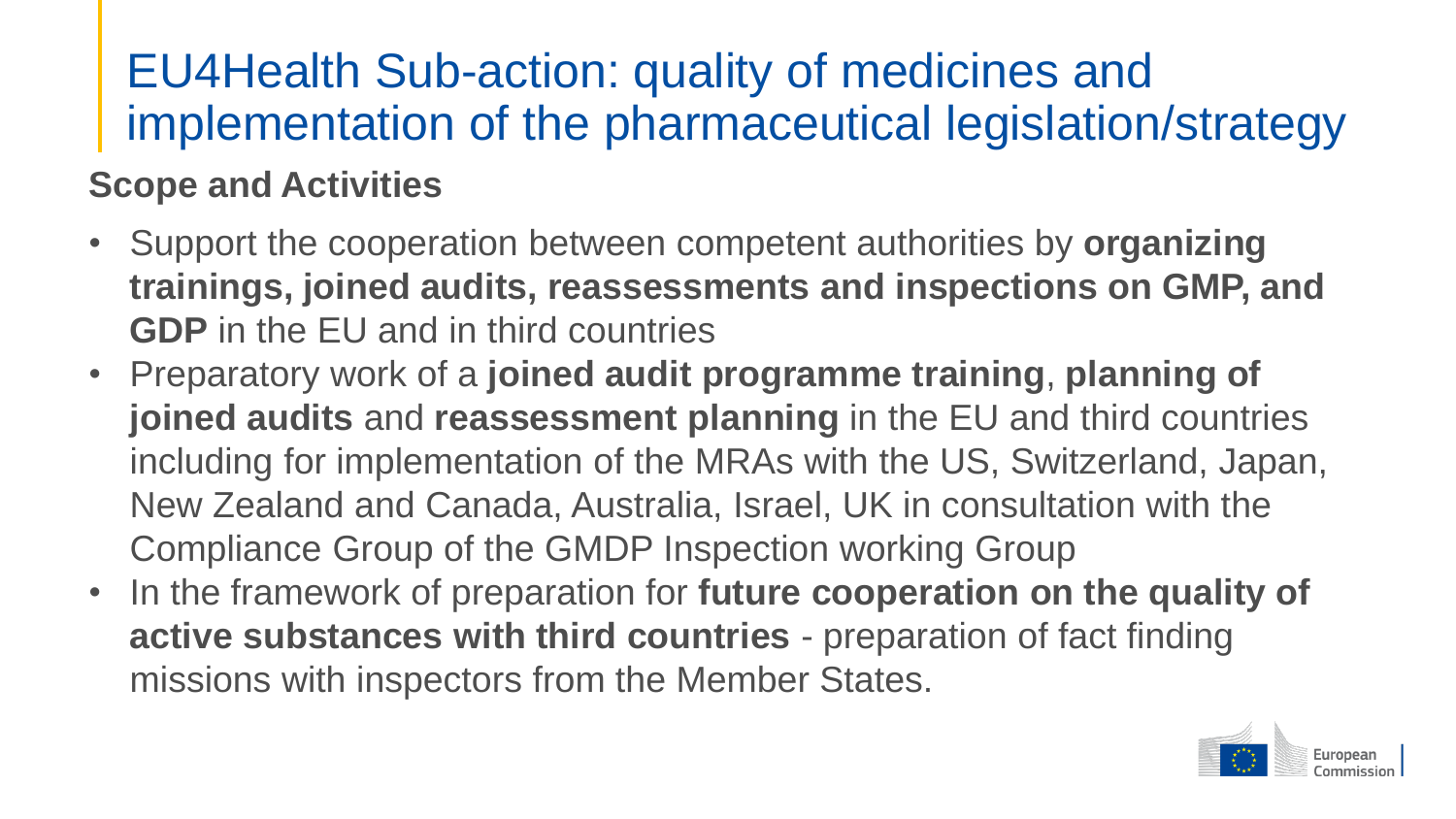## EU4Health Sub-action: quality of medicines and implementation of the pharmaceutical legislation/strategy

#### **Scope and Activities**

- Support the cooperation between competent authorities by **organizing trainings, joined audits, reassessments and inspections on GMP, and GDP** in the EU and in third countries
- Preparatory work of a **joined audit programme training**, **planning of joined audits** and **reassessment planning** in the EU and third countries including for implementation of the MRAs with the US, Switzerland, Japan, New Zealand and Canada, Australia, Israel, UK in consultation with the Compliance Group of the GMDP Inspection working Group
- In the framework of preparation for **future cooperation on the quality of active substances with third countries** - preparation of fact finding missions with inspectors from the Member States.

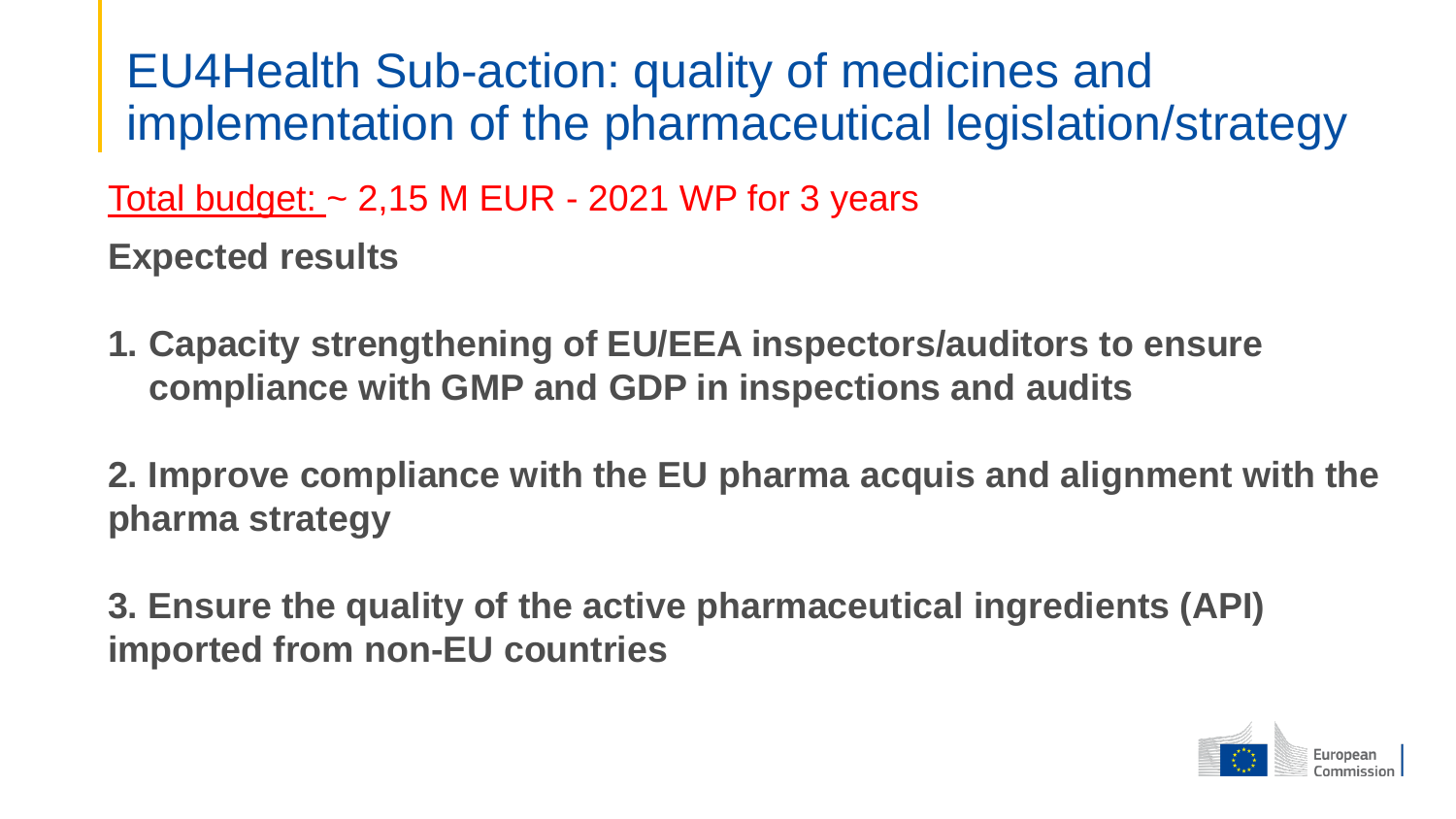EU4Health Sub-action: quality of medicines and implementation of the pharmaceutical legislation/strategy

Total budget:  $\sim$  2,15 M EUR - 2021 WP for 3 years

**Expected results**

- **1. Capacity strengthening of EU/EEA inspectors/auditors to ensure compliance with GMP and GDP in inspections and audits**
- **2. Improve compliance with the EU pharma acquis and alignment with the pharma strategy**

**3. Ensure the quality of the active pharmaceutical ingredients (API) imported from non-EU countries**

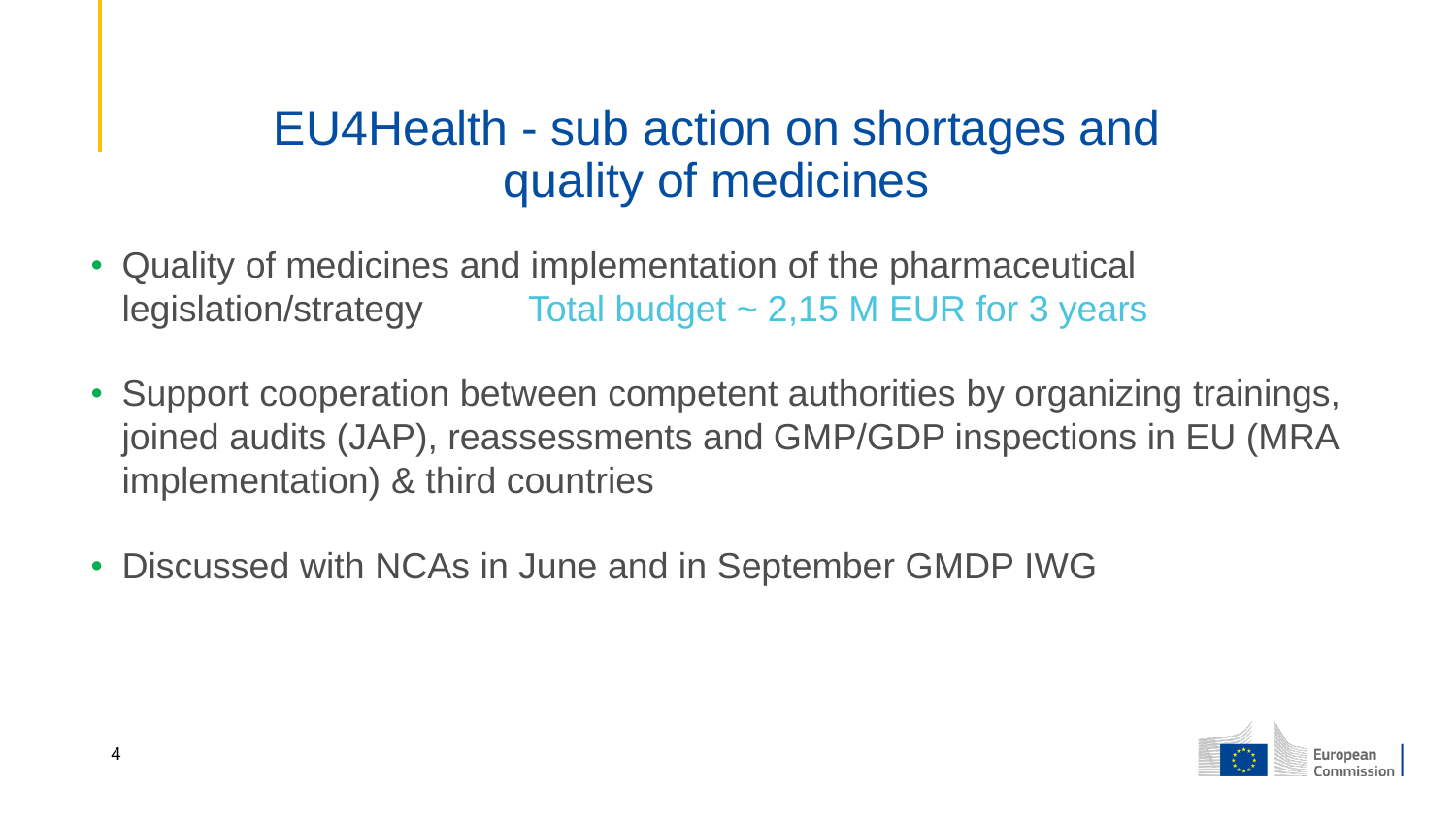## EU4Health - sub action on shortages and quality of medicines

- Quality of medicines and implementation of the pharmaceutical legislation/strategy Total budget ~ 2,15 M EUR for 3 years
- Support cooperation between competent authorities by organizing trainings, joined audits (JAP), reassessments and GMP/GDP inspections in EU (MRA implementation) & third countries
- Discussed with NCAs in June and in September GMDP IWG